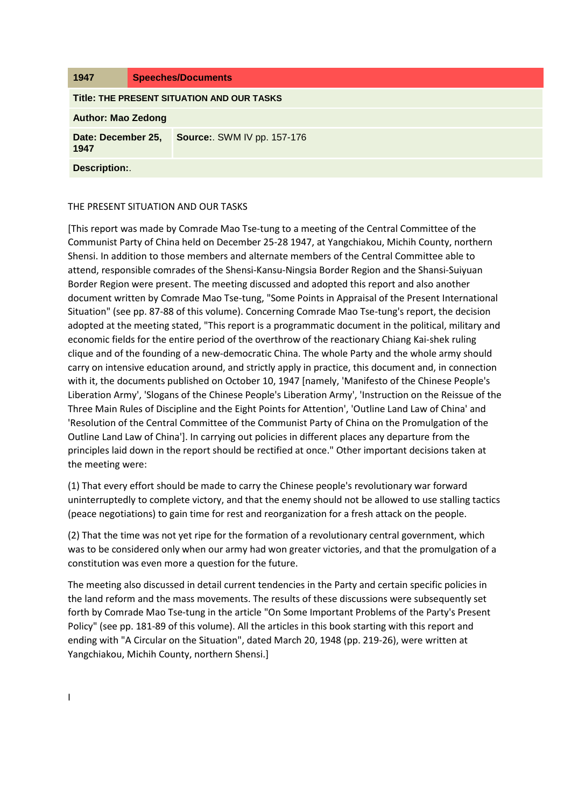| 1947                                       | <b>Speeches/Documents</b>          |
|--------------------------------------------|------------------------------------|
| Title: THE PRESENT SITUATION AND OUR TASKS |                                    |
| <b>Author: Mao Zedong</b>                  |                                    |
| Date: December 25,<br>1947                 | <b>Source:. SWM IV pp. 157-176</b> |
| <b>Description:.</b>                       |                                    |

# THE PRESENT SITUATION AND OUR TASKS

[This report was made by Comrade Mao Tse-tung to a meeting of the Central Committee of the Communist Party of China held on December 25-28 1947, at Yangchiakou, Michih County, northern Shensi. In addition to those members and alternate members of the Central Committee able to attend, responsible comrades of the Shensi-Kansu-Ningsia Border Region and the Shansi-Suiyuan Border Region were present. The meeting discussed and adopted this report and also another document written by Comrade Mao Tse-tung, "Some Points in Appraisal of the Present International Situation" (see pp. 87-88 of this volume). Concerning Comrade Mao Tse-tung's report, the decision adopted at the meeting stated, "This report is a programmatic document in the political, military and economic fields for the entire period of the overthrow of the reactionary Chiang Kai-shek ruling clique and of the founding of a new-democratic China. The whole Party and the whole army should carry on intensive education around, and strictly apply in practice, this document and, in connection with it, the documents published on October 10, 1947 [namely, 'Manifesto of the Chinese People's Liberation Army', 'Slogans of the Chinese People's Liberation Army', 'Instruction on the Reissue of the Three Main Rules of Discipline and the Eight Points for Attention', 'Outline Land Law of China' and 'Resolution of the Central Committee of the Communist Party of China on the Promulgation of the Outline Land Law of China']. In carrying out policies in different places any departure from the principles laid down in the report should be rectified at once." Other important decisions taken at the meeting were:

(1) That every effort should be made to carry the Chinese people's revolutionary war forward uninterruptedly to complete victory, and that the enemy should not be allowed to use stalling tactics (peace negotiations) to gain time for rest and reorganization for a fresh attack on the people.

(2) That the time was not yet ripe for the formation of a revolutionary central government, which was to be considered only when our army had won greater victories, and that the promulgation of a constitution was even more a question for the future.

The meeting also discussed in detail current tendencies in the Party and certain specific policies in the land reform and the mass movements. The results of these discussions were subsequently set forth by Comrade Mao Tse-tung in the article "On Some Important Problems of the Party's Present Policy" (see pp. 181-89 of this volume). All the articles in this book starting with this report and ending with "A Circular on the Situation", dated March 20, 1948 (pp. 219-26), were written at Yangchiakou, Michih County, northern Shensi.]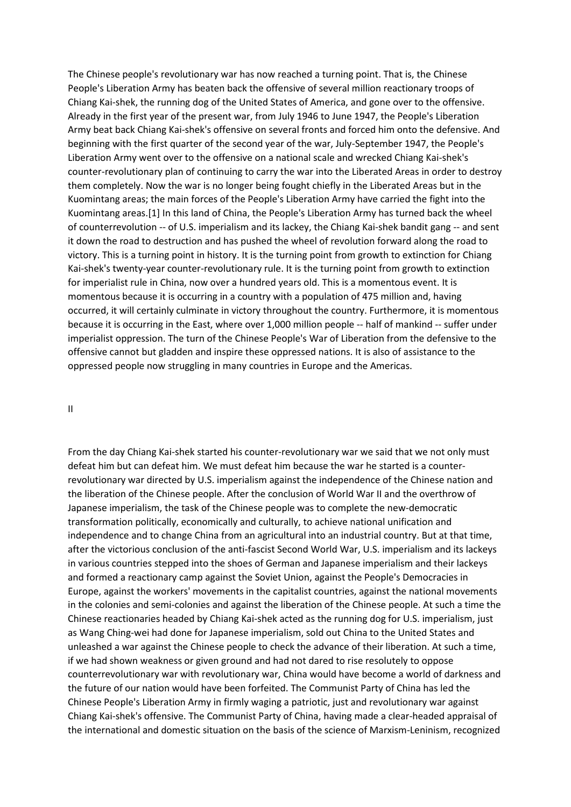The Chinese people's revolutionary war has now reached a turning point. That is, the Chinese People's Liberation Army has beaten back the offensive of several million reactionary troops of Chiang Kai-shek, the running dog of the United States of America, and gone over to the offensive. Already in the first year of the present war, from July 1946 to June 1947, the People's Liberation Army beat back Chiang Kai-shek's offensive on several fronts and forced him onto the defensive. And beginning with the first quarter of the second year of the war, July-September 1947, the People's Liberation Army went over to the offensive on a national scale and wrecked Chiang Kai-shek's counter-revolutionary plan of continuing to carry the war into the Liberated Areas in order to destroy them completely. Now the war is no longer being fought chiefly in the Liberated Areas but in the Kuomintang areas; the main forces of the People's Liberation Army have carried the fight into the Kuomintang areas.[1] In this land of China, the People's Liberation Army has turned back the wheel of counterrevolution -- of U.S. imperialism and its lackey, the Chiang Kai-shek bandit gang -- and sent it down the road to destruction and has pushed the wheel of revolution forward along the road to victory. This is a turning point in history. It is the turning point from growth to extinction for Chiang Kai-shek's twenty-year counter-revolutionary rule. It is the turning point from growth to extinction for imperialist rule in China, now over a hundred years old. This is a momentous event. It is momentous because it is occurring in a country with a population of 475 million and, having occurred, it will certainly culminate in victory throughout the country. Furthermore, it is momentous because it is occurring in the East, where over 1,000 million people -- half of mankind -- suffer under imperialist oppression. The turn of the Chinese People's War of Liberation from the defensive to the offensive cannot but gladden and inspire these oppressed nations. It is also of assistance to the oppressed people now struggling in many countries in Europe and the Americas.

#### II

From the day Chiang Kai-shek started his counter-revolutionary war we said that we not only must defeat him but can defeat him. We must defeat him because the war he started is a counterrevolutionary war directed by U.S. imperialism against the independence of the Chinese nation and the liberation of the Chinese people. After the conclusion of World War II and the overthrow of Japanese imperialism, the task of the Chinese people was to complete the new-democratic transformation politically, economically and culturally, to achieve national unification and independence and to change China from an agricultural into an industrial country. But at that time, after the victorious conclusion of the anti-fascist Second World War, U.S. imperialism and its lackeys in various countries stepped into the shoes of German and Japanese imperialism and their lackeys and formed a reactionary camp against the Soviet Union, against the People's Democracies in Europe, against the workers' movements in the capitalist countries, against the national movements in the colonies and semi-colonies and against the liberation of the Chinese people. At such a time the Chinese reactionaries headed by Chiang Kai-shek acted as the running dog for U.S. imperialism, just as Wang Ching-wei had done for Japanese imperialism, sold out China to the United States and unleashed a war against the Chinese people to check the advance of their liberation. At such a time, if we had shown weakness or given ground and had not dared to rise resolutely to oppose counterrevolutionary war with revolutionary war, China would have become a world of darkness and the future of our nation would have been forfeited. The Communist Party of China has led the Chinese People's Liberation Army in firmly waging a patriotic, just and revolutionary war against Chiang Kai-shek's offensive. The Communist Party of China, having made a clear-headed appraisal of the international and domestic situation on the basis of the science of Marxism-Leninism, recognized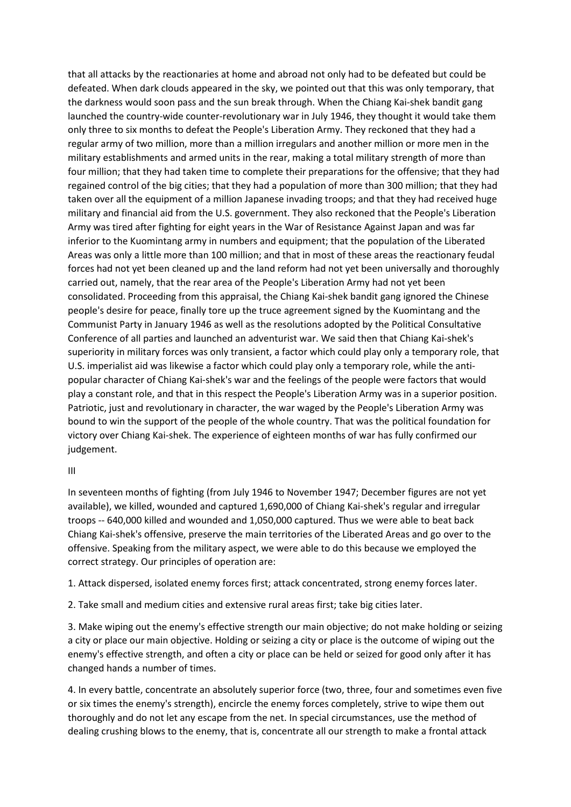that all attacks by the reactionaries at home and abroad not only had to be defeated but could be defeated. When dark clouds appeared in the sky, we pointed out that this was only temporary, that the darkness would soon pass and the sun break through. When the Chiang Kai-shek bandit gang launched the country-wide counter-revolutionary war in July 1946, they thought it would take them only three to six months to defeat the People's Liberation Army. They reckoned that they had a regular army of two million, more than a million irregulars and another million or more men in the military establishments and armed units in the rear, making a total military strength of more than four million; that they had taken time to complete their preparations for the offensive; that they had regained control of the big cities; that they had a population of more than 300 million; that they had taken over all the equipment of a million Japanese invading troops; and that they had received huge military and financial aid from the U.S. government. They also reckoned that the People's Liberation Army was tired after fighting for eight years in the War of Resistance Against Japan and was far inferior to the Kuomintang army in numbers and equipment; that the population of the Liberated Areas was only a little more than 100 million; and that in most of these areas the reactionary feudal forces had not yet been cleaned up and the land reform had not yet been universally and thoroughly carried out, namely, that the rear area of the People's Liberation Army had not yet been consolidated. Proceeding from this appraisal, the Chiang Kai-shek bandit gang ignored the Chinese people's desire for peace, finally tore up the truce agreement signed by the Kuomintang and the Communist Party in January 1946 as well as the resolutions adopted by the Political Consultative Conference of all parties and launched an adventurist war. We said then that Chiang Kai-shek's superiority in military forces was only transient, a factor which could play only a temporary role, that U.S. imperialist aid was likewise a factor which could play only a temporary role, while the antipopular character of Chiang Kai-shek's war and the feelings of the people were factors that would play a constant role, and that in this respect the People's Liberation Army was in a superior position. Patriotic, just and revolutionary in character, the war waged by the People's Liberation Army was bound to win the support of the people of the whole country. That was the political foundation for victory over Chiang Kai-shek. The experience of eighteen months of war has fully confirmed our judgement.

### III

In seventeen months of fighting (from July 1946 to November 1947; December figures are not yet available), we killed, wounded and captured 1,690,000 of Chiang Kai-shek's regular and irregular troops -- 640,000 killed and wounded and 1,050,000 captured. Thus we were able to beat back Chiang Kai-shek's offensive, preserve the main territories of the Liberated Areas and go over to the offensive. Speaking from the military aspect, we were able to do this because we employed the correct strategy. Our principles of operation are:

1. Attack dispersed, isolated enemy forces first; attack concentrated, strong enemy forces later.

2. Take small and medium cities and extensive rural areas first; take big cities later.

3. Make wiping out the enemy's effective strength our main objective; do not make holding or seizing a city or place our main objective. Holding or seizing a city or place is the outcome of wiping out the enemy's effective strength, and often a city or place can be held or seized for good only after it has changed hands a number of times.

4. In every battle, concentrate an absolutely superior force (two, three, four and sometimes even five or six times the enemy's strength), encircle the enemy forces completely, strive to wipe them out thoroughly and do not let any escape from the net. In special circumstances, use the method of dealing crushing blows to the enemy, that is, concentrate all our strength to make a frontal attack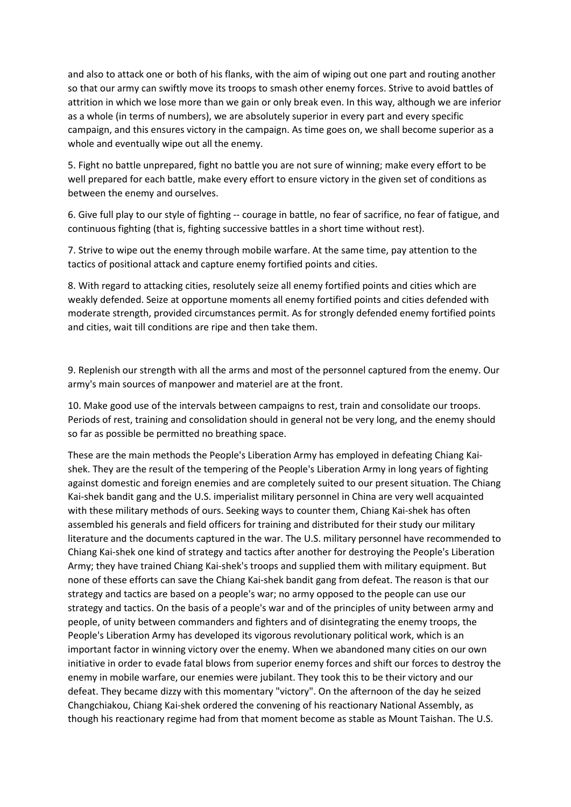and also to attack one or both of his flanks, with the aim of wiping out one part and routing another so that our army can swiftly move its troops to smash other enemy forces. Strive to avoid battles of attrition in which we lose more than we gain or only break even. In this way, although we are inferior as a whole (in terms of numbers), we are absolutely superior in every part and every specific campaign, and this ensures victory in the campaign. As time goes on, we shall become superior as a whole and eventually wipe out all the enemy.

5. Fight no battle unprepared, fight no battle you are not sure of winning; make every effort to be well prepared for each battle, make every effort to ensure victory in the given set of conditions as between the enemy and ourselves.

6. Give full play to our style of fighting -- courage in battle, no fear of sacrifice, no fear of fatigue, and continuous fighting (that is, fighting successive battles in a short time without rest).

7. Strive to wipe out the enemy through mobile warfare. At the same time, pay attention to the tactics of positional attack and capture enemy fortified points and cities.

8. With regard to attacking cities, resolutely seize all enemy fortified points and cities which are weakly defended. Seize at opportune moments all enemy fortified points and cities defended with moderate strength, provided circumstances permit. As for strongly defended enemy fortified points and cities, wait till conditions are ripe and then take them.

9. Replenish our strength with all the arms and most of the personnel captured from the enemy. Our army's main sources of manpower and materiel are at the front.

10. Make good use of the intervals between campaigns to rest, train and consolidate our troops. Periods of rest, training and consolidation should in general not be very long, and the enemy should so far as possible be permitted no breathing space.

These are the main methods the People's Liberation Army has employed in defeating Chiang Kaishek. They are the result of the tempering of the People's Liberation Army in long years of fighting against domestic and foreign enemies and are completely suited to our present situation. The Chiang Kai-shek bandit gang and the U.S. imperialist military personnel in China are very well acquainted with these military methods of ours. Seeking ways to counter them, Chiang Kai-shek has often assembled his generals and field officers for training and distributed for their study our military literature and the documents captured in the war. The U.S. military personnel have recommended to Chiang Kai-shek one kind of strategy and tactics after another for destroying the People's Liberation Army; they have trained Chiang Kai-shek's troops and supplied them with military equipment. But none of these efforts can save the Chiang Kai-shek bandit gang from defeat. The reason is that our strategy and tactics are based on a people's war; no army opposed to the people can use our strategy and tactics. On the basis of a people's war and of the principles of unity between army and people, of unity between commanders and fighters and of disintegrating the enemy troops, the People's Liberation Army has developed its vigorous revolutionary political work, which is an important factor in winning victory over the enemy. When we abandoned many cities on our own initiative in order to evade fatal blows from superior enemy forces and shift our forces to destroy the enemy in mobile warfare, our enemies were jubilant. They took this to be their victory and our defeat. They became dizzy with this momentary "victory". On the afternoon of the day he seized Changchiakou, Chiang Kai-shek ordered the convening of his reactionary National Assembly, as though his reactionary regime had from that moment become as stable as Mount Taishan. The U.S.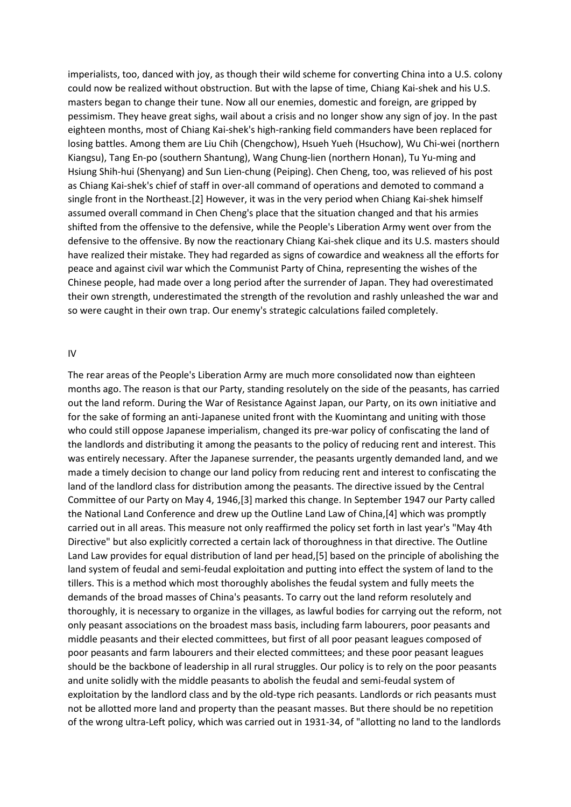imperialists, too, danced with joy, as though their wild scheme for converting China into a U.S. colony could now be realized without obstruction. But with the lapse of time, Chiang Kai-shek and his U.S. masters began to change their tune. Now all our enemies, domestic and foreign, are gripped by pessimism. They heave great sighs, wail about a crisis and no longer show any sign of joy. In the past eighteen months, most of Chiang Kai-shek's high-ranking field commanders have been replaced for losing battles. Among them are Liu Chih (Chengchow), Hsueh Yueh (Hsuchow), Wu Chi-wei (northern Kiangsu), Tang En-po (southern Shantung), Wang Chung-lien (northern Honan), Tu Yu-ming and Hsiung Shih-hui (Shenyang) and Sun Lien-chung (Peiping). Chen Cheng, too, was relieved of his post as Chiang Kai-shek's chief of staff in over-all command of operations and demoted to command a single front in the Northeast.[2] However, it was in the very period when Chiang Kai-shek himself assumed overall command in Chen Cheng's place that the situation changed and that his armies shifted from the offensive to the defensive, while the People's Liberation Army went over from the defensive to the offensive. By now the reactionary Chiang Kai-shek clique and its U.S. masters should have realized their mistake. They had regarded as signs of cowardice and weakness all the efforts for peace and against civil war which the Communist Party of China, representing the wishes of the Chinese people, had made over a long period after the surrender of Japan. They had overestimated their own strength, underestimated the strength of the revolution and rashly unleashed the war and so were caught in their own trap. Our enemy's strategic calculations failed completely.

### IV

The rear areas of the People's Liberation Army are much more consolidated now than eighteen months ago. The reason is that our Party, standing resolutely on the side of the peasants, has carried out the land reform. During the War of Resistance Against Japan, our Party, on its own initiative and for the sake of forming an anti-Japanese united front with the Kuomintang and uniting with those who could still oppose Japanese imperialism, changed its pre-war policy of confiscating the land of the landlords and distributing it among the peasants to the policy of reducing rent and interest. This was entirely necessary. After the Japanese surrender, the peasants urgently demanded land, and we made a timely decision to change our land policy from reducing rent and interest to confiscating the land of the landlord class for distribution among the peasants. The directive issued by the Central Committee of our Party on May 4, 1946,[3] marked this change. In September 1947 our Party called the National Land Conference and drew up the Outline Land Law of China,[4] which was promptly carried out in all areas. This measure not only reaffirmed the policy set forth in last year's "May 4th Directive" but also explicitly corrected a certain lack of thoroughness in that directive. The Outline Land Law provides for equal distribution of land per head,[5] based on the principle of abolishing the land system of feudal and semi-feudal exploitation and putting into effect the system of land to the tillers. This is a method which most thoroughly abolishes the feudal system and fully meets the demands of the broad masses of China's peasants. To carry out the land reform resolutely and thoroughly, it is necessary to organize in the villages, as lawful bodies for carrying out the reform, not only peasant associations on the broadest mass basis, including farm labourers, poor peasants and middle peasants and their elected committees, but first of all poor peasant leagues composed of poor peasants and farm labourers and their elected committees; and these poor peasant leagues should be the backbone of leadership in all rural struggles. Our policy is to rely on the poor peasants and unite solidly with the middle peasants to abolish the feudal and semi-feudal system of exploitation by the landlord class and by the old-type rich peasants. Landlords or rich peasants must not be allotted more land and property than the peasant masses. But there should be no repetition of the wrong ultra-Left policy, which was carried out in 1931-34, of "allotting no land to the landlords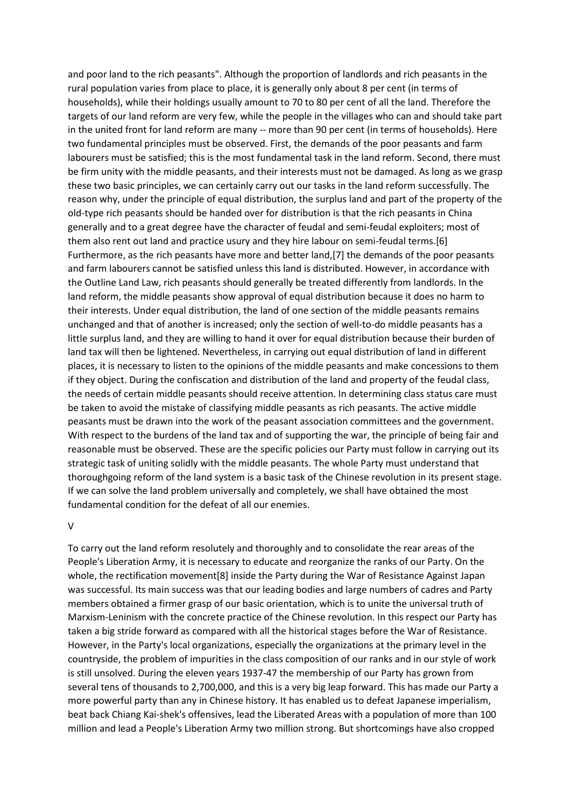and poor land to the rich peasants". Although the proportion of landlords and rich peasants in the rural population varies from place to place, it is generally only about 8 per cent (in terms of households), while their holdings usually amount to 70 to 80 per cent of all the land. Therefore the targets of our land reform are very few, while the people in the villages who can and should take part in the united front for land reform are many -- more than 90 per cent (in terms of households). Here two fundamental principles must be observed. First, the demands of the poor peasants and farm labourers must be satisfied; this is the most fundamental task in the land reform. Second, there must be firm unity with the middle peasants, and their interests must not be damaged. As long as we grasp these two basic principles, we can certainly carry out our tasks in the land reform successfully. The reason why, under the principle of equal distribution, the surplus land and part of the property of the old-type rich peasants should be handed over for distribution is that the rich peasants in China generally and to a great degree have the character of feudal and semi-feudal exploiters; most of them also rent out land and practice usury and they hire labour on semi-feudal terms.[6] Furthermore, as the rich peasants have more and better land,[7] the demands of the poor peasants and farm labourers cannot be satisfied unless this land is distributed. However, in accordance with the Outline Land Law, rich peasants should generally be treated differently from landlords. In the land reform, the middle peasants show approval of equal distribution because it does no harm to their interests. Under equal distribution, the land of one section of the middle peasants remains unchanged and that of another is increased; only the section of well-to-do middle peasants has a little surplus land, and they are willing to hand it over for equal distribution because their burden of land tax will then be lightened. Nevertheless, in carrying out equal distribution of land in different places, it is necessary to listen to the opinions of the middle peasants and make concessions to them if they object. During the confiscation and distribution of the land and property of the feudal class, the needs of certain middle peasants should receive attention. In determining class status care must be taken to avoid the mistake of classifying middle peasants as rich peasants. The active middle peasants must be drawn into the work of the peasant association committees and the government. With respect to the burdens of the land tax and of supporting the war, the principle of being fair and reasonable must be observed. These are the specific policies our Party must follow in carrying out its strategic task of uniting solidly with the middle peasants. The whole Party must understand that thoroughgoing reform of the land system is a basic task of the Chinese revolution in its present stage. If we can solve the land problem universally and completely, we shall have obtained the most fundamental condition for the defeat of all our enemies.

### V

To carry out the land reform resolutely and thoroughly and to consolidate the rear areas of the People's Liberation Army, it is necessary to educate and reorganize the ranks of our Party. On the whole, the rectification movement[8] inside the Party during the War of Resistance Against Japan was successful. Its main success was that our leading bodies and large numbers of cadres and Party members obtained a firmer grasp of our basic orientation, which is to unite the universal truth of Marxism-Leninism with the concrete practice of the Chinese revolution. In this respect our Party has taken a big stride forward as compared with all the historical stages before the War of Resistance. However, in the Party's local organizations, especially the organizations at the primary level in the countryside, the problem of impurities in the class composition of our ranks and in our style of work is still unsolved. During the eleven years 1937-47 the membership of our Party has grown from several tens of thousands to 2,700,000, and this is a very big leap forward. This has made our Party a more powerful party than any in Chinese history. It has enabled us to defeat Japanese imperialism, beat back Chiang Kai-shek's offensives, lead the Liberated Areas with a population of more than 100 million and lead a People's Liberation Army two million strong. But shortcomings have also cropped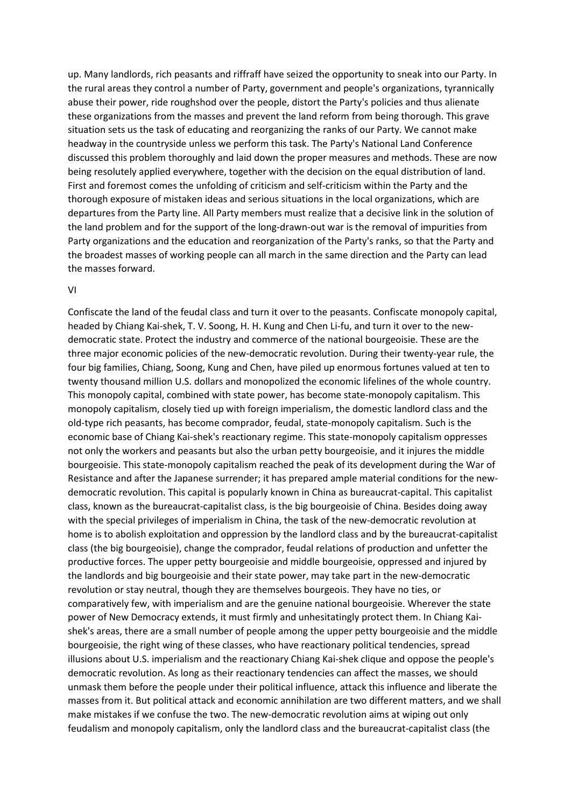up. Many landlords, rich peasants and riffraff have seized the opportunity to sneak into our Party. In the rural areas they control a number of Party, government and people's organizations, tyrannically abuse their power, ride roughshod over the people, distort the Party's policies and thus alienate these organizations from the masses and prevent the land reform from being thorough. This grave situation sets us the task of educating and reorganizing the ranks of our Party. We cannot make headway in the countryside unless we perform this task. The Party's National Land Conference discussed this problem thoroughly and laid down the proper measures and methods. These are now being resolutely applied everywhere, together with the decision on the equal distribution of land. First and foremost comes the unfolding of criticism and self-criticism within the Party and the thorough exposure of mistaken ideas and serious situations in the local organizations, which are departures from the Party line. All Party members must realize that a decisive link in the solution of the land problem and for the support of the long-drawn-out war is the removal of impurities from Party organizations and the education and reorganization of the Party's ranks, so that the Party and the broadest masses of working people can all march in the same direction and the Party can lead the masses forward.

### VI

Confiscate the land of the feudal class and turn it over to the peasants. Confiscate monopoly capital, headed by Chiang Kai-shek, T. V. Soong, H. H. Kung and Chen Li-fu, and turn it over to the newdemocratic state. Protect the industry and commerce of the national bourgeoisie. These are the three major economic policies of the new-democratic revolution. During their twenty-year rule, the four big families, Chiang, Soong, Kung and Chen, have piled up enormous fortunes valued at ten to twenty thousand million U.S. dollars and monopolized the economic lifelines of the whole country. This monopoly capital, combined with state power, has become state-monopoly capitalism. This monopoly capitalism, closely tied up with foreign imperialism, the domestic landlord class and the old-type rich peasants, has become comprador, feudal, state-monopoly capitalism. Such is the economic base of Chiang Kai-shek's reactionary regime. This state-monopoly capitalism oppresses not only the workers and peasants but also the urban petty bourgeoisie, and it injures the middle bourgeoisie. This state-monopoly capitalism reached the peak of its development during the War of Resistance and after the Japanese surrender; it has prepared ample material conditions for the newdemocratic revolution. This capital is popularly known in China as bureaucrat-capital. This capitalist class, known as the bureaucrat-capitalist class, is the big bourgeoisie of China. Besides doing away with the special privileges of imperialism in China, the task of the new-democratic revolution at home is to abolish exploitation and oppression by the landlord class and by the bureaucrat-capitalist class (the big bourgeoisie), change the comprador, feudal relations of production and unfetter the productive forces. The upper petty bourgeoisie and middle bourgeoisie, oppressed and injured by the landlords and big bourgeoisie and their state power, may take part in the new-democratic revolution or stay neutral, though they are themselves bourgeois. They have no ties, or comparatively few, with imperialism and are the genuine national bourgeoisie. Wherever the state power of New Democracy extends, it must firmly and unhesitatingly protect them. In Chiang Kaishek's areas, there are a small number of people among the upper petty bourgeoisie and the middle bourgeoisie, the right wing of these classes, who have reactionary political tendencies, spread illusions about U.S. imperialism and the reactionary Chiang Kai-shek clique and oppose the people's democratic revolution. As long as their reactionary tendencies can affect the masses, we should unmask them before the people under their political influence, attack this influence and liberate the masses from it. But political attack and economic annihilation are two different matters, and we shall make mistakes if we confuse the two. The new-democratic revolution aims at wiping out only feudalism and monopoly capitalism, only the landlord class and the bureaucrat-capitalist class (the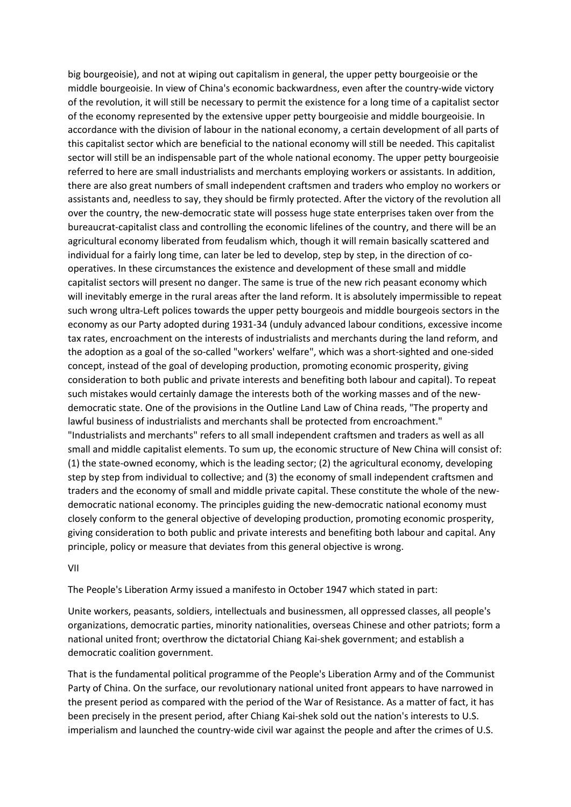big bourgeoisie), and not at wiping out capitalism in general, the upper petty bourgeoisie or the middle bourgeoisie. In view of China's economic backwardness, even after the country-wide victory of the revolution, it will still be necessary to permit the existence for a long time of a capitalist sector of the economy represented by the extensive upper petty bourgeoisie and middle bourgeoisie. In accordance with the division of labour in the national economy, a certain development of all parts of this capitalist sector which are beneficial to the national economy will still be needed. This capitalist sector will still be an indispensable part of the whole national economy. The upper petty bourgeoisie referred to here are small industrialists and merchants employing workers or assistants. In addition, there are also great numbers of small independent craftsmen and traders who employ no workers or assistants and, needless to say, they should be firmly protected. After the victory of the revolution all over the country, the new-democratic state will possess huge state enterprises taken over from the bureaucrat-capitalist class and controlling the economic lifelines of the country, and there will be an agricultural economy liberated from feudalism which, though it will remain basically scattered and individual for a fairly long time, can later be led to develop, step by step, in the direction of cooperatives. In these circumstances the existence and development of these small and middle capitalist sectors will present no danger. The same is true of the new rich peasant economy which will inevitably emerge in the rural areas after the land reform. It is absolutely impermissible to repeat such wrong ultra-Left polices towards the upper petty bourgeois and middle bourgeois sectors in the economy as our Party adopted during 1931-34 (unduly advanced labour conditions, excessive income tax rates, encroachment on the interests of industrialists and merchants during the land reform, and the adoption as a goal of the so-called "workers' welfare", which was a short-sighted and one-sided concept, instead of the goal of developing production, promoting economic prosperity, giving consideration to both public and private interests and benefiting both labour and capital). To repeat such mistakes would certainly damage the interests both of the working masses and of the newdemocratic state. One of the provisions in the Outline Land Law of China reads, "The property and lawful business of industrialists and merchants shall be protected from encroachment." "Industrialists and merchants" refers to all small independent craftsmen and traders as well as all small and middle capitalist elements. To sum up, the economic structure of New China will consist of: (1) the state-owned economy, which is the leading sector; (2) the agricultural economy, developing step by step from individual to collective; and (3) the economy of small independent craftsmen and traders and the economy of small and middle private capital. These constitute the whole of the newdemocratic national economy. The principles guiding the new-democratic national economy must closely conform to the general objective of developing production, promoting economic prosperity, giving consideration to both public and private interests and benefiting both labour and capital. Any principle, policy or measure that deviates from this general objective is wrong.

### VII

The People's Liberation Army issued a manifesto in October 1947 which stated in part:

Unite workers, peasants, soldiers, intellectuals and businessmen, all oppressed classes, all people's organizations, democratic parties, minority nationalities, overseas Chinese and other patriots; form a national united front; overthrow the dictatorial Chiang Kai-shek government; and establish a democratic coalition government.

That is the fundamental political programme of the People's Liberation Army and of the Communist Party of China. On the surface, our revolutionary national united front appears to have narrowed in the present period as compared with the period of the War of Resistance. As a matter of fact, it has been precisely in the present period, after Chiang Kai-shek sold out the nation's interests to U.S. imperialism and launched the country-wide civil war against the people and after the crimes of U.S.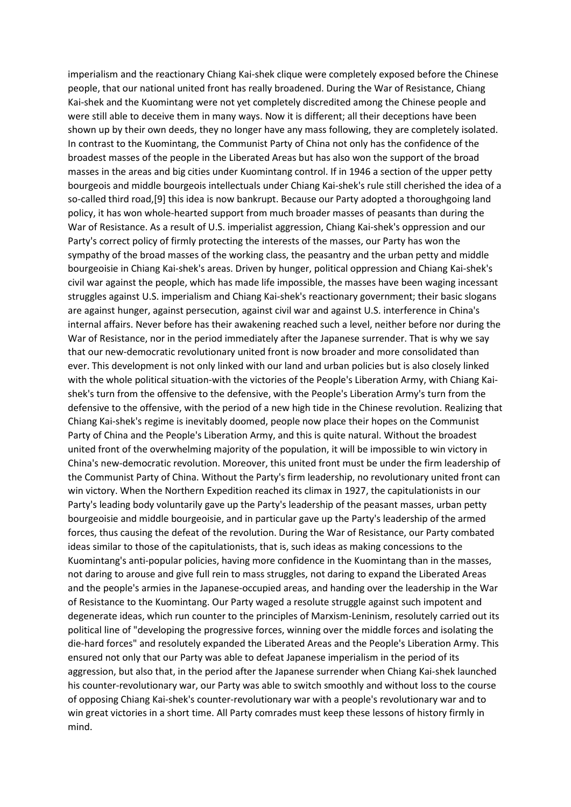imperialism and the reactionary Chiang Kai-shek clique were completely exposed before the Chinese people, that our national united front has really broadened. During the War of Resistance, Chiang Kai-shek and the Kuomintang were not yet completely discredited among the Chinese people and were still able to deceive them in many ways. Now it is different; all their deceptions have been shown up by their own deeds, they no longer have any mass following, they are completely isolated. In contrast to the Kuomintang, the Communist Party of China not only has the confidence of the broadest masses of the people in the Liberated Areas but has also won the support of the broad masses in the areas and big cities under Kuomintang control. If in 1946 a section of the upper petty bourgeois and middle bourgeois intellectuals under Chiang Kai-shek's rule still cherished the idea of a so-called third road,[9] this idea is now bankrupt. Because our Party adopted a thoroughgoing land policy, it has won whole-hearted support from much broader masses of peasants than during the War of Resistance. As a result of U.S. imperialist aggression, Chiang Kai-shek's oppression and our Party's correct policy of firmly protecting the interests of the masses, our Party has won the sympathy of the broad masses of the working class, the peasantry and the urban petty and middle bourgeoisie in Chiang Kai-shek's areas. Driven by hunger, political oppression and Chiang Kai-shek's civil war against the people, which has made life impossible, the masses have been waging incessant struggles against U.S. imperialism and Chiang Kai-shek's reactionary government; their basic slogans are against hunger, against persecution, against civil war and against U.S. interference in China's internal affairs. Never before has their awakening reached such a level, neither before nor during the War of Resistance, nor in the period immediately after the Japanese surrender. That is why we say that our new-democratic revolutionary united front is now broader and more consolidated than ever. This development is not only linked with our land and urban policies but is also closely linked with the whole political situation-with the victories of the People's Liberation Army, with Chiang Kaishek's turn from the offensive to the defensive, with the People's Liberation Army's turn from the defensive to the offensive, with the period of a new high tide in the Chinese revolution. Realizing that Chiang Kai-shek's regime is inevitably doomed, people now place their hopes on the Communist Party of China and the People's Liberation Army, and this is quite natural. Without the broadest united front of the overwhelming majority of the population, it will be impossible to win victory in China's new-democratic revolution. Moreover, this united front must be under the firm leadership of the Communist Party of China. Without the Party's firm leadership, no revolutionary united front can win victory. When the Northern Expedition reached its climax in 1927, the capitulationists in our Party's leading body voluntarily gave up the Party's leadership of the peasant masses, urban petty bourgeoisie and middle bourgeoisie, and in particular gave up the Party's leadership of the armed forces, thus causing the defeat of the revolution. During the War of Resistance, our Party combated ideas similar to those of the capitulationists, that is, such ideas as making concessions to the Kuomintang's anti-popular policies, having more confidence in the Kuomintang than in the masses, not daring to arouse and give full rein to mass struggles, not daring to expand the Liberated Areas and the people's armies in the Japanese-occupied areas, and handing over the leadership in the War of Resistance to the Kuomintang. Our Party waged a resolute struggle against such impotent and degenerate ideas, which run counter to the principles of Marxism-Leninism, resolutely carried out its political line of "developing the progressive forces, winning over the middle forces and isolating the die-hard forces" and resolutely expanded the Liberated Areas and the People's Liberation Army. This ensured not only that our Party was able to defeat Japanese imperialism in the period of its aggression, but also that, in the period after the Japanese surrender when Chiang Kai-shek launched his counter-revolutionary war, our Party was able to switch smoothly and without loss to the course of opposing Chiang Kai-shek's counter-revolutionary war with a people's revolutionary war and to win great victories in a short time. All Party comrades must keep these lessons of history firmly in mind.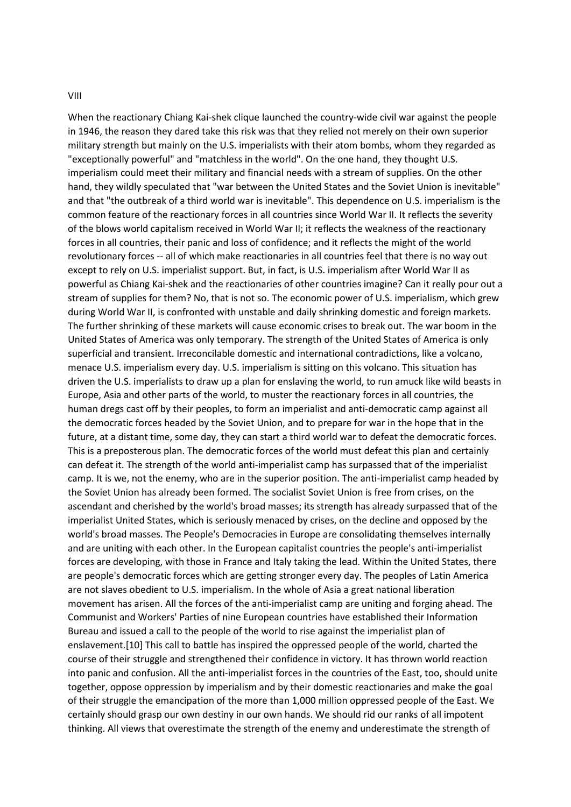#### VIII

When the reactionary Chiang Kai-shek clique launched the country-wide civil war against the people in 1946, the reason they dared take this risk was that they relied not merely on their own superior military strength but mainly on the U.S. imperialists with their atom bombs, whom they regarded as "exceptionally powerful" and "matchless in the world". On the one hand, they thought U.S. imperialism could meet their military and financial needs with a stream of supplies. On the other hand, they wildly speculated that "war between the United States and the Soviet Union is inevitable" and that "the outbreak of a third world war is inevitable". This dependence on U.S. imperialism is the common feature of the reactionary forces in all countries since World War II. It reflects the severity of the blows world capitalism received in World War II; it reflects the weakness of the reactionary forces in all countries, their panic and loss of confidence; and it reflects the might of the world revolutionary forces -- all of which make reactionaries in all countries feel that there is no way out except to rely on U.S. imperialist support. But, in fact, is U.S. imperialism after World War II as powerful as Chiang Kai-shek and the reactionaries of other countries imagine? Can it really pour out a stream of supplies for them? No, that is not so. The economic power of U.S. imperialism, which grew during World War II, is confronted with unstable and daily shrinking domestic and foreign markets. The further shrinking of these markets will cause economic crises to break out. The war boom in the United States of America was only temporary. The strength of the United States of America is only superficial and transient. Irreconcilable domestic and international contradictions, like a volcano, menace U.S. imperialism every day. U.S. imperialism is sitting on this volcano. This situation has driven the U.S. imperialists to draw up a plan for enslaving the world, to run amuck like wild beasts in Europe, Asia and other parts of the world, to muster the reactionary forces in all countries, the human dregs cast off by their peoples, to form an imperialist and anti-democratic camp against all the democratic forces headed by the Soviet Union, and to prepare for war in the hope that in the future, at a distant time, some day, they can start a third world war to defeat the democratic forces. This is a preposterous plan. The democratic forces of the world must defeat this plan and certainly can defeat it. The strength of the world anti-imperialist camp has surpassed that of the imperialist camp. It is we, not the enemy, who are in the superior position. The anti-imperialist camp headed by the Soviet Union has already been formed. The socialist Soviet Union is free from crises, on the ascendant and cherished by the world's broad masses; its strength has already surpassed that of the imperialist United States, which is seriously menaced by crises, on the decline and opposed by the world's broad masses. The People's Democracies in Europe are consolidating themselves internally and are uniting with each other. In the European capitalist countries the people's anti-imperialist forces are developing, with those in France and Italy taking the lead. Within the United States, there are people's democratic forces which are getting stronger every day. The peoples of Latin America are not slaves obedient to U.S. imperialism. In the whole of Asia a great national liberation movement has arisen. All the forces of the anti-imperialist camp are uniting and forging ahead. The Communist and Workers' Parties of nine European countries have established their Information Bureau and issued a call to the people of the world to rise against the imperialist plan of enslavement.[10] This call to battle has inspired the oppressed people of the world, charted the course of their struggle and strengthened their confidence in victory. It has thrown world reaction into panic and confusion. All the anti-imperialist forces in the countries of the East, too, should unite together, oppose oppression by imperialism and by their domestic reactionaries and make the goal of their struggle the emancipation of the more than 1,000 million oppressed people of the East. We certainly should grasp our own destiny in our own hands. We should rid our ranks of all impotent thinking. All views that overestimate the strength of the enemy and underestimate the strength of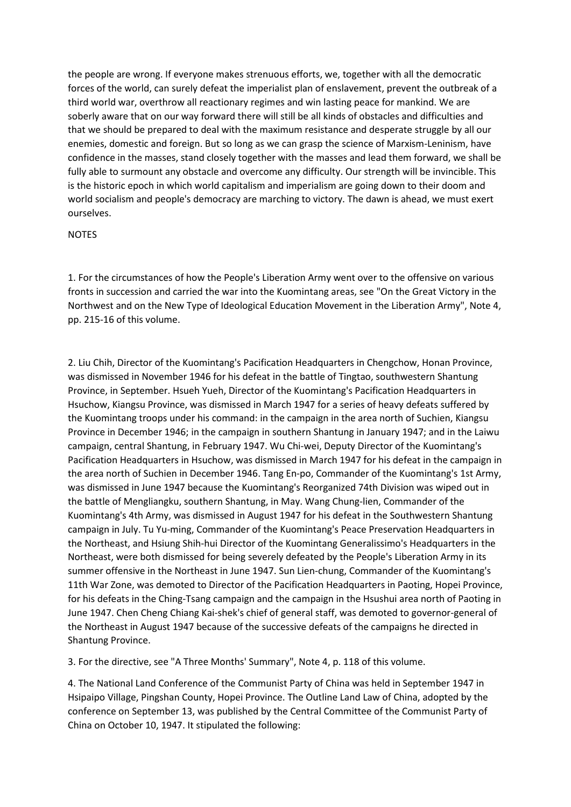the people are wrong. If everyone makes strenuous efforts, we, together with all the democratic forces of the world, can surely defeat the imperialist plan of enslavement, prevent the outbreak of a third world war, overthrow all reactionary regimes and win lasting peace for mankind. We are soberly aware that on our way forward there will still be all kinds of obstacles and difficulties and that we should be prepared to deal with the maximum resistance and desperate struggle by all our enemies, domestic and foreign. But so long as we can grasp the science of Marxism-Leninism, have confidence in the masses, stand closely together with the masses and lead them forward, we shall be fully able to surmount any obstacle and overcome any difficulty. Our strength will be invincible. This is the historic epoch in which world capitalism and imperialism are going down to their doom and world socialism and people's democracy are marching to victory. The dawn is ahead, we must exert ourselves.

## **NOTES**

1. For the circumstances of how the People's Liberation Army went over to the offensive on various fronts in succession and carried the war into the Kuomintang areas, see "On the Great Victory in the Northwest and on the New Type of Ideological Education Movement in the Liberation Army", Note 4, pp. 215-16 of this volume.

2. Liu Chih, Director of the Kuomintang's Pacification Headquarters in Chengchow, Honan Province, was dismissed in November 1946 for his defeat in the battle of Tingtao, southwestern Shantung Province, in September. Hsueh Yueh, Director of the Kuomintang's Pacification Headquarters in Hsuchow, Kiangsu Province, was dismissed in March 1947 for a series of heavy defeats suffered by the Kuomintang troops under his command: in the campaign in the area north of Suchien, Kiangsu Province in December 1946; in the campaign in southern Shantung in January 1947; and in the Laiwu campaign, central Shantung, in February 1947. Wu Chi-wei, Deputy Director of the Kuomintang's Pacification Headquarters in Hsuchow, was dismissed in March 1947 for his defeat in the campaign in the area north of Suchien in December 1946. Tang En-po, Commander of the Kuomintang's 1st Army, was dismissed in June 1947 because the Kuomintang's Reorganized 74th Division was wiped out in the battle of Mengliangku, southern Shantung, in May. Wang Chung-lien, Commander of the Kuomintang's 4th Army, was dismissed in August 1947 for his defeat in the Southwestern Shantung campaign in July. Tu Yu-ming, Commander of the Kuomintang's Peace Preservation Headquarters in the Northeast, and Hsiung Shih-hui Director of the Kuomintang Generalissimo's Headquarters in the Northeast, were both dismissed for being severely defeated by the People's Liberation Army in its summer offensive in the Northeast in June 1947. Sun Lien-chung, Commander of the Kuomintang's 11th War Zone, was demoted to Director of the Pacification Headquarters in Paoting, Hopei Province, for his defeats in the Ching-Tsang campaign and the campaign in the Hsushui area north of Paoting in June 1947. Chen Cheng Chiang Kai-shek's chief of general staff, was demoted to governor-general of the Northeast in August 1947 because of the successive defeats of the campaigns he directed in Shantung Province.

3. For the directive, see "A Three Months' Summary", Note 4, p. 118 of this volume.

4. The National Land Conference of the Communist Party of China was held in September 1947 in Hsipaipo Village, Pingshan County, Hopei Province. The Outline Land Law of China, adopted by the conference on September 13, was published by the Central Committee of the Communist Party of China on October 10, 1947. It stipulated the following: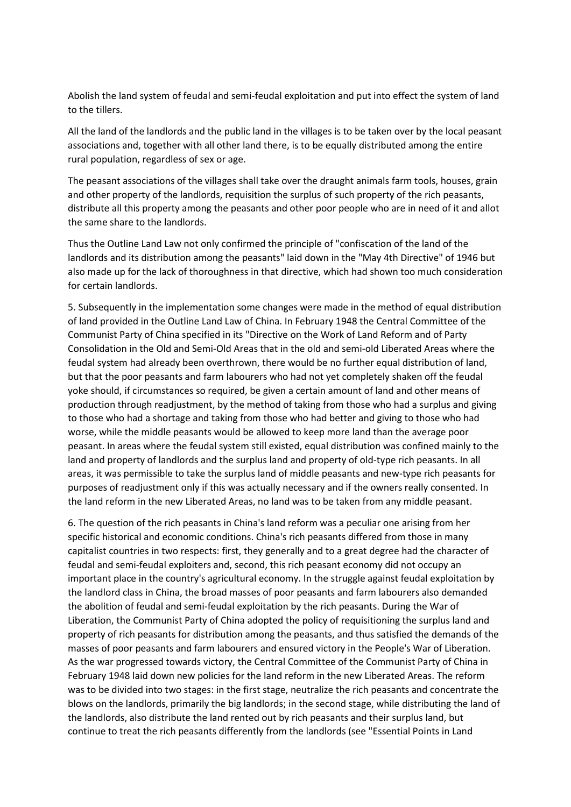Abolish the land system of feudal and semi-feudal exploitation and put into effect the system of land to the tillers.

All the land of the landlords and the public land in the villages is to be taken over by the local peasant associations and, together with all other land there, is to be equally distributed among the entire rural population, regardless of sex or age.

The peasant associations of the villages shall take over the draught animals farm tools, houses, grain and other property of the landlords, requisition the surplus of such property of the rich peasants, distribute all this property among the peasants and other poor people who are in need of it and allot the same share to the landlords.

Thus the Outline Land Law not only confirmed the principle of "confiscation of the land of the landlords and its distribution among the peasants" laid down in the "May 4th Directive" of 1946 but also made up for the lack of thoroughness in that directive, which had shown too much consideration for certain landlords.

5. Subsequently in the implementation some changes were made in the method of equal distribution of land provided in the Outline Land Law of China. In February 1948 the Central Committee of the Communist Party of China specified in its "Directive on the Work of Land Reform and of Party Consolidation in the Old and Semi-Old Areas that in the old and semi-old Liberated Areas where the feudal system had already been overthrown, there would be no further equal distribution of land, but that the poor peasants and farm labourers who had not yet completely shaken off the feudal yoke should, if circumstances so required, be given a certain amount of land and other means of production through readjustment, by the method of taking from those who had a surplus and giving to those who had a shortage and taking from those who had better and giving to those who had worse, while the middle peasants would be allowed to keep more land than the average poor peasant. In areas where the feudal system still existed, equal distribution was confined mainly to the land and property of landlords and the surplus land and property of old-type rich peasants. In all areas, it was permissible to take the surplus land of middle peasants and new-type rich peasants for purposes of readjustment only if this was actually necessary and if the owners really consented. In the land reform in the new Liberated Areas, no land was to be taken from any middle peasant.

6. The question of the rich peasants in China's land reform was a peculiar one arising from her specific historical and economic conditions. China's rich peasants differed from those in many capitalist countries in two respects: first, they generally and to a great degree had the character of feudal and semi-feudal exploiters and, second, this rich peasant economy did not occupy an important place in the country's agricultural economy. In the struggle against feudal exploitation by the landlord class in China, the broad masses of poor peasants and farm labourers also demanded the abolition of feudal and semi-feudal exploitation by the rich peasants. During the War of Liberation, the Communist Party of China adopted the policy of requisitioning the surplus land and property of rich peasants for distribution among the peasants, and thus satisfied the demands of the masses of poor peasants and farm labourers and ensured victory in the People's War of Liberation. As the war progressed towards victory, the Central Committee of the Communist Party of China in February 1948 laid down new policies for the land reform in the new Liberated Areas. The reform was to be divided into two stages: in the first stage, neutralize the rich peasants and concentrate the blows on the landlords, primarily the big landlords; in the second stage, while distributing the land of the landlords, also distribute the land rented out by rich peasants and their surplus land, but continue to treat the rich peasants differently from the landlords (see "Essential Points in Land